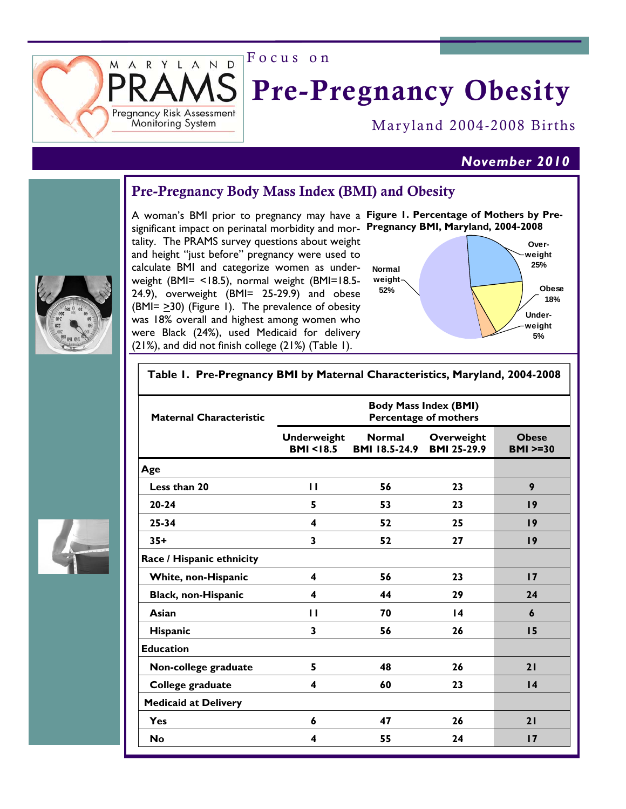Focus on

ARYLAND

Pregnancy Risk Assessment Moniforing System

M

# Pre-Pregnancy Obesity

Maryland 2004-2008 Births

# *November 2010*

# Pre-Pregnancy Body Mass Index (BMI) and Obesity

A woman's BMI prior to pregnancy may have a Figure I. Percentage of Mothers by Presignificant impact on perinatal morbidity and mor- Pregnancy BMI, Maryland, 2004-2008 tality. The PRAMS survey questions about weight and height "just before" pregnancy were used to calculate BMI and categorize women as underweight (BMI= <18.5), normal weight (BMI=18.5- 24.9), overweight (BMI= 25-29.9) and obese (BMI= >30) (Figure 1). The prevalence of obesity was 18% overall and highest among women who were Black (24%), used Medicaid for delivery (21%), and did not finish college (21%) (Table 1).





### **Table 1. Pre-Pregnancy BMI by Maternal Characteristics, Maryland, 2004-2008**





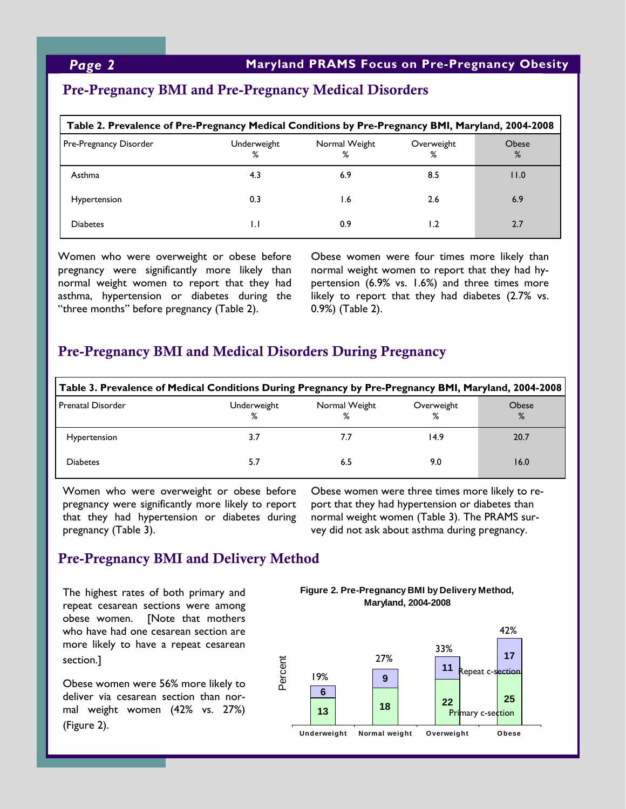## Pre-Pregnancy BMI and Pre-Pregnancy Medical Disorders

| Table 2. Prevalence of Pre-Pregnancy Medical Conditions by Pre-Pregnancy BMI, Maryland, 2004-2008 |                  |                    |                 |                   |  |  |
|---------------------------------------------------------------------------------------------------|------------------|--------------------|-----------------|-------------------|--|--|
| Pre-Pregnancy Disorder                                                                            | Underweight<br>% | Normal Weight<br>% | Overweight<br>℅ | <b>Obese</b><br>% |  |  |
| Asthma                                                                                            | 4.3              | 6.9                | 8.5             | 11.0              |  |  |
| Hypertension                                                                                      | 0.3              | 1.6                | 2.6             | 6.9               |  |  |
| <b>Diabetes</b>                                                                                   | I.I              | 0.9                | 1.2             | 2.7               |  |  |

Women who were overweight or obese before pregnancy were significantly more likely than normal weight women to report that they had asthma, hypertension or diabetes during the "three months" before pregnancy (Table 2).

Obese women were four times more likely than normal weight women to report that they had hypertension (6.9% vs. 1.6%) and three times more likely to report that they had diabetes (2.7% vs. 0.9%) (Table 2).

## Pre-Pregnancy BMI and Medical Disorders During Pregnancy

| Table 3. Prevalence of Medical Conditions During Pregnancy by Pre-Pregnancy BMI, Maryland, 2004-2008 |                  |                    |                 |            |  |  |
|------------------------------------------------------------------------------------------------------|------------------|--------------------|-----------------|------------|--|--|
| <b>Prenatal Disorder</b>                                                                             | Underweight<br>% | Normal Weight<br>% | Overweight<br>% | Obese<br>% |  |  |
| Hypertension                                                                                         | 3.7              | 7.7                | 14.9            | 20.7       |  |  |
| <b>Diabetes</b>                                                                                      | 5.7              | 6.5                | 9.0             | 16.0       |  |  |

Women who were overweight or obese before pregnancy were significantly more likely to report that they had hypertension or diabetes during pregnancy (Table 3).

Obese women were three times more likely to report that they had hypertension or diabetes than normal weight women (Table 3). The PRAMS survey did not ask about asthma during pregnancy.

# Pre-Pregnancy BMI and Delivery Method

The highest rates of both primary and repeat cesarean sections were among obese women. [Note that mothers who have had one cesarean section are more likely to have a repeat cesarean section.]

Obese women were 56% more likely to deliver via cesarean section than normal weight women (42% vs. 27%) (Figure 2).

**Figure 2. Pre-Pregnancy BMI by Delivery Method, Maryland, 2004-2008**

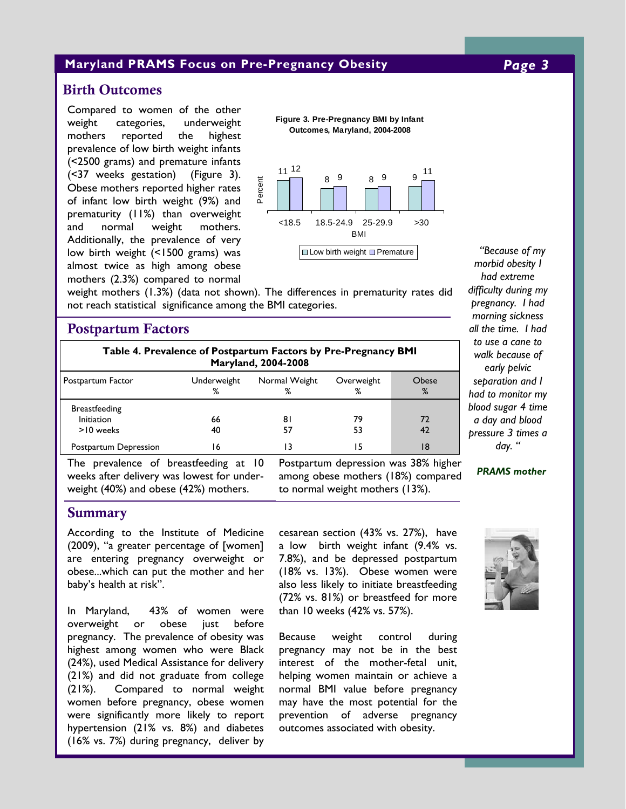### **Maryland PRAMS Focus on Pre-Pregnancy Obesity** *Page 3*

## Birth Outcomes

Compared to women of the other weight categories, underweight mothers reported the highest prevalence of low birth weight infants (<2500 grams) and premature infants (<37 weeks gestation) (Figure 3). Obese mothers reported higher rates of infant low birth weight (9%) and prematurity (11%) than overweight and normal weight mothers. Additionally, the prevalence of very low birth weight (<1500 grams) was almost twice as high among obese mothers (2.3%) compared to normal

**Figure 3. Pre-Pregnancy BMI by Infant Outcomes, Maryland, 2004-2008**



weight mothers (1.3%) (data not shown). The differences in prematurity rates did not reach statistical significance among the BMI categories.

## Postpartum Factors

| <b>Table 4. Prevalence of Postpartum Factors by Pre-Pregnancy BMI</b><br>Maryland, 2004-2008 |                  |                    |                 |            |  |  |
|----------------------------------------------------------------------------------------------|------------------|--------------------|-----------------|------------|--|--|
| Postpartum Factor                                                                            | Underweight<br>% | Normal Weight<br>% | Overweight<br>% | Ohese<br>% |  |  |
| <b>Breastfeeding</b><br><b>Initiation</b><br>>10 weeks                                       | 66<br>40         | 81<br>57           | 79<br>53        | 72<br>42   |  |  |
| Postpartum Depression                                                                        | 16               |                    | ۱5              | 18         |  |  |

The prevalence of breastfeeding at 10 weeks after delivery was lowest for underweight (40%) and obese (42%) mothers.

Postpartum depression was 38% higher among obese mothers (18%) compared to normal weight mothers (13%).

### *had extreme difficulty during my pregnancy. I had morning sickness all the time. I had to use a cane to walk because of early pelvic separation and I had to monitor my blood sugar 4 time a day and blood pressure 3 times a day. "*

*"Because of my morbid obesity I* 

#### *PRAMS mother*

#### Summary

According to the Institute of Medicine (2009), "a greater percentage of [women] are entering pregnancy overweight or obese...which can put the mother and her baby's health at risk".

In Maryland, 43% of women were overweight or obese just before pregnancy. The prevalence of obesity was highest among women who were Black (24%), used Medical Assistance for delivery (21%) and did not graduate from college (21%). Compared to normal weight women before pregnancy, obese women were significantly more likely to report hypertension (21% vs. 8%) and diabetes (16% vs. 7%) during pregnancy, deliver by cesarean section (43% vs. 27%), have a low birth weight infant (9.4% vs. 7.8%), and be depressed postpartum (18% vs. 13%). Obese women were also less likely to initiate breastfeeding (72% vs. 81%) or breastfeed for more than 10 weeks (42% vs. 57%).

Because weight control during pregnancy may not be in the best interest of the mother-fetal unit, helping women maintain or achieve a normal BMI value before pregnancy may have the most potential for the prevention of adverse pregnancy outcomes associated with obesity.